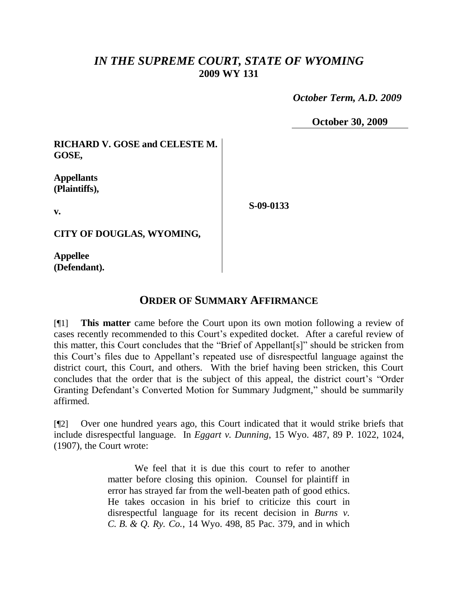## *IN THE SUPREME COURT, STATE OF WYOMING* **2009 WY 131**

 *October Term, A.D. 2009*

**October 30, 2009**

**RICHARD V. GOSE and CELESTE M. GOSE,**

**Appellants (Plaintiffs),**

**v.**

**S-09-0133**

**CITY OF DOUGLAS, WYOMING,**

**Appellee (Defendant).**

## **ORDER OF SUMMARY AFFIRMANCE**

[¶1] **This matter** came before the Court upon its own motion following a review of cases recently recommended to this Court's expedited docket. After a careful review of this matter, this Court concludes that the "Brief of Appellant[s]" should be stricken from this Court's files due to Appellant's repeated use of disrespectful language against the district court, this Court, and others. With the brief having been stricken, this Court concludes that the order that is the subject of this appeal, the district court's "Order Granting Defendant's Converted Motion for Summary Judgment," should be summarily affirmed.

[¶2] Over one hundred years ago, this Court indicated that it would strike briefs that include disrespectful language. In *Eggart v. Dunning*, 15 Wyo. 487, 89 P. 1022, 1024, (1907), the Court wrote:

> We feel that it is due this court to refer to another matter before closing this opinion. Counsel for plaintiff in error has strayed far from the well-beaten path of good ethics. He takes occasion in his brief to criticize this court in disrespectful language for its recent decision in *Burns v. C. B. & Q. Ry. Co.*, 14 Wyo. 498, 85 Pac. 379, and in which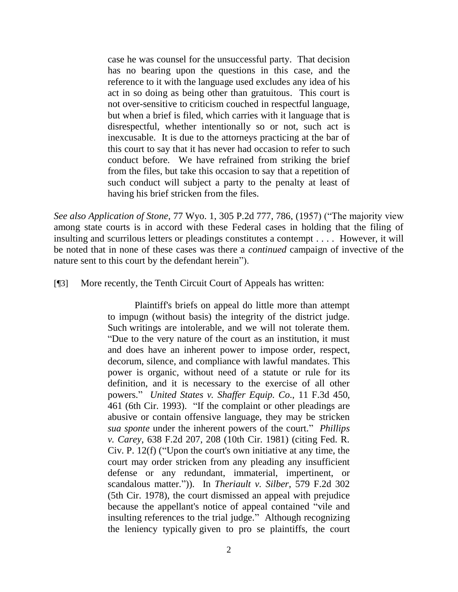case he was counsel for the unsuccessful party. That decision has no bearing upon the questions in this case, and the reference to it with the language used excludes any idea of his act in so doing as being other than gratuitous. This court is not over-sensitive to criticism couched in respectful language, but when a brief is filed, which carries with it language that is disrespectful, whether intentionally so or not, such act is inexcusable. It is due to the attorneys practicing at the bar of this court to say that it has never had occasion to refer to such conduct before. We have refrained from striking the brief from the files, but take this occasion to say that a repetition of such conduct will subject a party to the penalty at least of having his brief stricken from the files.

*See also Application of Stone*, 77 Wyo. 1, 305 P.2d 777, 786, (1957) ("The majority view among state courts is in accord with these Federal cases in holding that the filing of insulting and scurrilous letters or pleadings constitutes a contempt . . . . However, it will be noted that in none of these cases was there a *continued* campaign of invective of the nature sent to this court by the defendant herein").

[¶3] More recently, the Tenth Circuit Court of Appeals has written:

Plaintiff's briefs on appeal do little more than attempt to impugn (without basis) the integrity of the district judge. Such writings are intolerable, and we will not tolerate them. "Due to the very nature of the court as an institution, it must and does have an inherent power to impose order, respect, decorum, silence, and compliance with lawful mandates. This power is organic, without need of a statute or rule for its definition, and it is necessary to the exercise of all other powers." *United States v. Shaffer Equip. Co*., 11 F.3d 450, 461 (6th Cir. 1993). "If the complaint or other pleadings are abusive or contain offensive language, they may be stricken *sua sponte* under the inherent powers of the court." *Phillips v. Carey*, 638 F.2d 207, 208 (10th Cir. 1981) (citing Fed. R. Civ. P. 12(f) ("Upon the court's own initiative at any time, the court may order stricken from any pleading any insufficient defense or any redundant, immaterial, impertinent, or scandalous matter.")). In *Theriault v. Silber*, 579 F.2d 302 (5th Cir. 1978), the court dismissed an appeal with prejudice because the appellant's notice of appeal contained "vile and insulting references to the trial judge." Although recognizing the leniency typically given to pro se plaintiffs, the court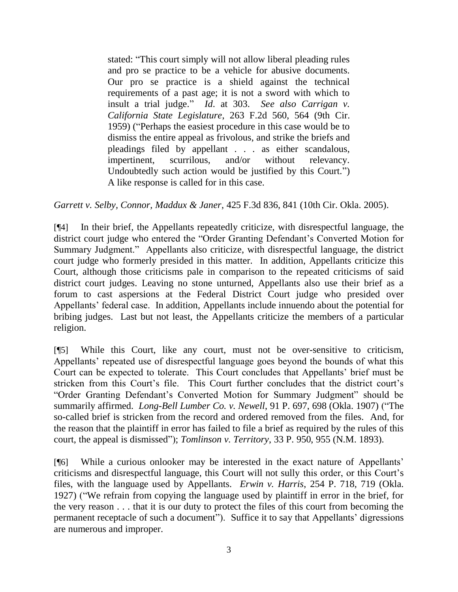stated: "This court simply will not allow liberal pleading rules and pro se practice to be a vehicle for abusive documents. Our pro se practice is a shield against the technical requirements of a past age; it is not a sword with which to insult a trial judge." *Id*. at 303. *See also Carrigan v. California State Legislature*, 263 F.2d 560, 564 (9th Cir. 1959) ("Perhaps the easiest procedure in this case would be to dismiss the entire appeal as frivolous, and strike the briefs and pleadings filed by appellant . . . as either scandalous, impertinent, scurrilous, and/or without relevancy. Undoubtedly such action would be justified by this Court.") A like response is called for in this case.

*Garrett v. Selby, Connor, Maddux & Janer*, 425 F.3d 836, 841 (10th Cir. Okla. 2005).

[¶4] In their brief, the Appellants repeatedly criticize, with disrespectful language, the district court judge who entered the "Order Granting Defendant's Converted Motion for Summary Judgment." Appellants also criticize, with disrespectful language, the district court judge who formerly presided in this matter. In addition, Appellants criticize this Court, although those criticisms pale in comparison to the repeated criticisms of said district court judges. Leaving no stone unturned, Appellants also use their brief as a forum to cast aspersions at the Federal District Court judge who presided over Appellants' federal case. In addition, Appellants include innuendo about the potential for bribing judges. Last but not least, the Appellants criticize the members of a particular religion.

[¶5] While this Court, like any court, must not be over-sensitive to criticism, Appellants' repeated use of disrespectful language goes beyond the bounds of what this Court can be expected to tolerate. This Court concludes that Appellants' brief must be stricken from this Court's file. This Court further concludes that the district court's "Order Granting Defendant's Converted Motion for Summary Judgment" should be summarily affirmed. *Long-Bell Lumber Co. v. Newell*, 91 P. 697, 698 (Okla. 1907) ("The so-called brief is stricken from the record and ordered removed from the files. And, for the reason that the plaintiff in error has failed to file a brief as required by the rules of this court, the appeal is dismissed"); *Tomlinson v. Territory*, 33 P. 950, 955 (N.M. 1893).

[¶6] While a curious onlooker may be interested in the exact nature of Appellants' criticisms and disrespectful language, this Court will not sully this order, or this Court's files, with the language used by Appellants. *Erwin v. Harris*, 254 P. 718, 719 (Okla. 1927) ("We refrain from copying the language used by plaintiff in error in the brief, for the very reason . . . that it is our duty to protect the files of this court from becoming the permanent receptacle of such a document"). Suffice it to say that Appellants' digressions are numerous and improper.